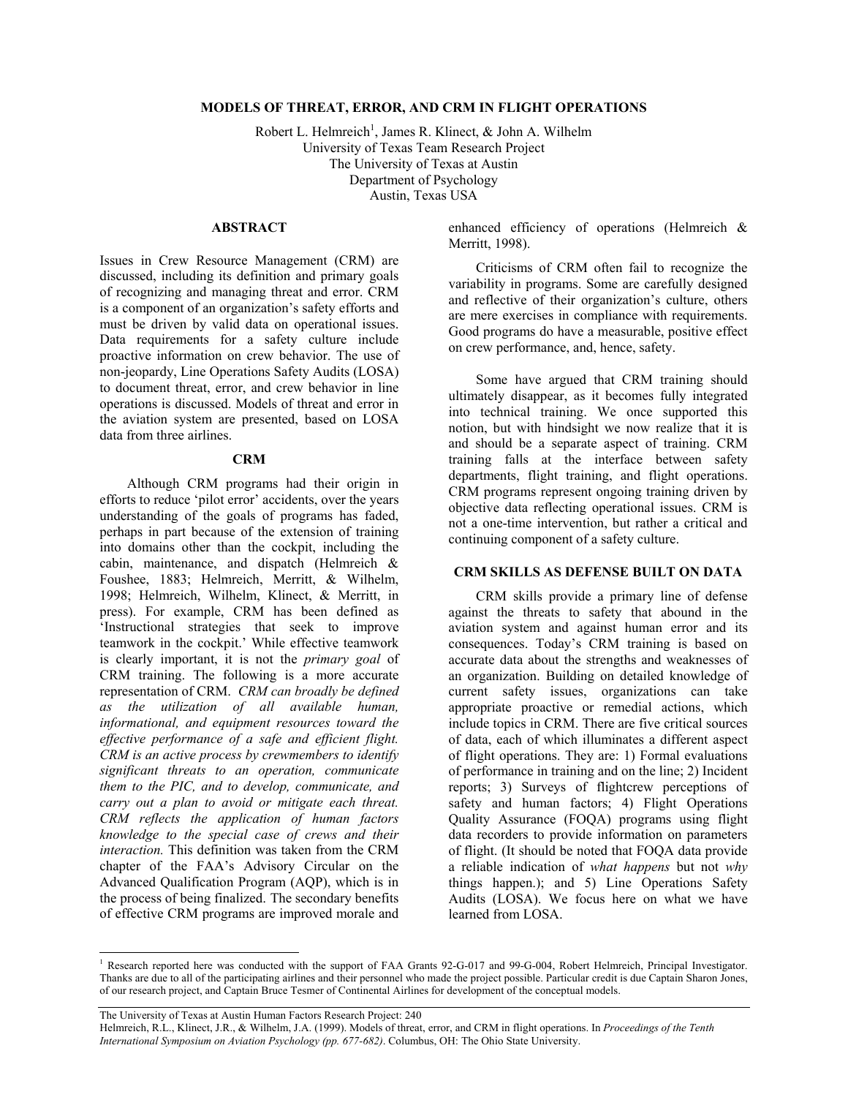## **MODELS OF THREAT, ERROR, AND CRM IN FLIGHT OPERATIONS**

Robert L. Helmreich<sup>1</sup>, James R. Klinect, & John A. Wilhelm University of Texas Team Research Project The University of Texas at Austin Department of Psychology Austin, Texas USA

## **ABSTRACT**

Issues in Crew Resource Management (CRM) are discussed, including its definition and primary goals of recognizing and managing threat and error. CRM is a component of an organization's safety efforts and must be driven by valid data on operational issues. Data requirements for a safety culture include proactive information on crew behavior. The use of non-jeopardy, Line Operations Safety Audits (LOSA) to document threat, error, and crew behavior in line operations is discussed. Models of threat and error in the aviation system are presented, based on LOSA data from three airlines.

#### **CRM**

Although CRM programs had their origin in efforts to reduce 'pilot error' accidents, over the years understanding of the goals of programs has faded, perhaps in part because of the extension of training into domains other than the cockpit, including the cabin, maintenance, and dispatch (Helmreich & Foushee, 1883; Helmreich, Merritt, & Wilhelm, 1998; Helmreich, Wilhelm, Klinect, & Merritt, in press). For example, CRM has been defined as 'Instructional strategies that seek to improve teamwork in the cockpit.' While effective teamwork is clearly important, it is not the *primary goal* of CRM training. The following is a more accurate representation of CRM. *CRM can broadly be defined as the utilization of all available human, informational, and equipment resources toward the effective performance of a safe and efficient flight. CRM is an active process by crewmembers to identify significant threats to an operation, communicate them to the PIC, and to develop, communicate, and carry out a plan to avoid or mitigate each threat. CRM reflects the application of human factors knowledge to the special case of crews and their interaction.* This definition was taken from the CRM chapter of the FAA's Advisory Circular on the Advanced Qualification Program (AQP), which is in the process of being finalized. The secondary benefits of effective CRM programs are improved morale and

enhanced efficiency of operations (Helmreich & Merritt, 1998).

Criticisms of CRM often fail to recognize the variability in programs. Some are carefully designed and reflective of their organization's culture, others are mere exercises in compliance with requirements. Good programs do have a measurable, positive effect on crew performance, and, hence, safety.

Some have argued that CRM training should ultimately disappear, as it becomes fully integrated into technical training. We once supported this notion, but with hindsight we now realize that it is and should be a separate aspect of training. CRM training falls at the interface between safety departments, flight training, and flight operations. CRM programs represent ongoing training driven by objective data reflecting operational issues. CRM is not a one-time intervention, but rather a critical and continuing component of a safety culture.

#### **CRM SKILLS AS DEFENSE BUILT ON DATA**

 CRM skills provide a primary line of defense against the threats to safety that abound in the aviation system and against human error and its consequences. Today's CRM training is based on accurate data about the strengths and weaknesses of an organization. Building on detailed knowledge of current safety issues, organizations can take appropriate proactive or remedial actions, which include topics in CRM. There are five critical sources of data, each of which illuminates a different aspect of flight operations. They are: 1) Formal evaluations of performance in training and on the line; 2) Incident reports; 3) Surveys of flightcrew perceptions of safety and human factors; 4) Flight Operations Quality Assurance (FOQA) programs using flight data recorders to provide information on parameters of flight. (It should be noted that FOQA data provide a reliable indication of *what happens* but not *why* things happen.); and 5) Line Operations Safety Audits (LOSA). We focus here on what we have learned from LOSA.

The University of Texas at Austin Human Factors Research Project: 240

 $\overline{a}$ 

Helmreich, R.L., Klinect, J.R., & Wilhelm, J.A. (1999). Models of threat, error, and CRM in flight operations. In *Proceedings of the Tenth International Symposium on Aviation Psychology (pp. 677-682)*. Columbus, OH: The Ohio State University.

<sup>&</sup>lt;sup>1</sup> Research reported here was conducted with the support of FAA Grants 92-G-017 and 99-G-004, Robert Helmreich, Principal Investigator. Thanks are due to all of the participating airlines and their personnel who made the project possible. Particular credit is due Captain Sharon Jones, of our research project, and Captain Bruce Tesmer of Continental Airlines for development of the conceptual models.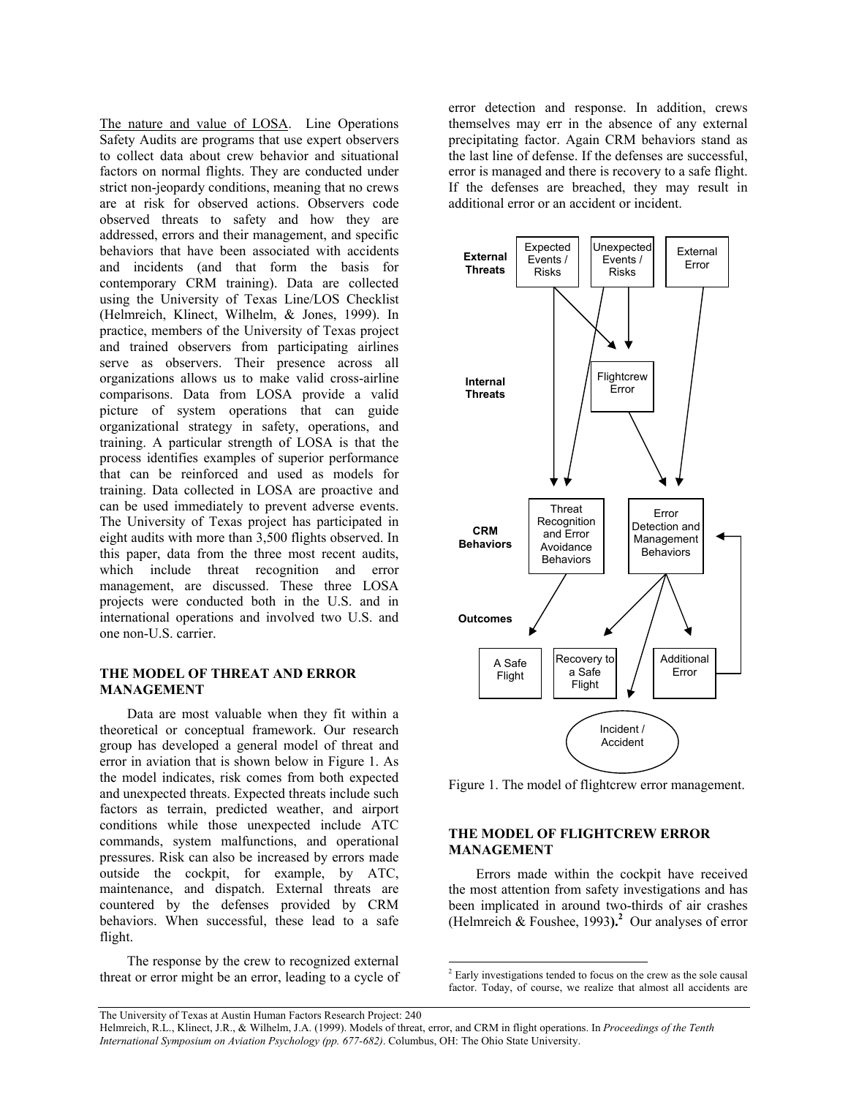The nature and value of LOSA. Line Operations Safety Audits are programs that use expert observers to collect data about crew behavior and situational factors on normal flights. They are conducted under strict non-jeopardy conditions, meaning that no crews are at risk for observed actions. Observers code observed threats to safety and how they are addressed, errors and their management, and specific behaviors that have been associated with accidents and incidents (and that form the basis for contemporary CRM training). Data are collected using the University of Texas Line/LOS Checklist (Helmreich, Klinect, Wilhelm, & Jones, 1999). In practice, members of the University of Texas project and trained observers from participating airlines serve as observers. Their presence across all organizations allows us to make valid cross-airline comparisons. Data from LOSA provide a valid picture of system operations that can guide organizational strategy in safety, operations, and training. A particular strength of LOSA is that the process identifies examples of superior performance that can be reinforced and used as models for training. Data collected in LOSA are proactive and can be used immediately to prevent adverse events. The University of Texas project has participated in eight audits with more than 3,500 flights observed. In this paper, data from the three most recent audits, which include threat recognition and error management, are discussed. These three LOSA projects were conducted both in the U.S. and in international operations and involved two U.S. and one non-U.S. carrier.

## **THE MODEL OF THREAT AND ERROR MANAGEMENT**

Data are most valuable when they fit within a theoretical or conceptual framework. Our research group has developed a general model of threat and error in aviation that is shown below in Figure 1. As the model indicates, risk comes from both expected and unexpected threats. Expected threats include such factors as terrain, predicted weather, and airport conditions while those unexpected include ATC commands, system malfunctions, and operational pressures. Risk can also be increased by errors made outside the cockpit, for example, by ATC, maintenance, and dispatch. External threats are countered by the defenses provided by CRM behaviors. When successful, these lead to a safe flight.

The response by the crew to recognized external threat or error might be an error, leading to a cycle of

error detection and response. In addition, crews themselves may err in the absence of any external precipitating factor. Again CRM behaviors stand as the last line of defense. If the defenses are successful, error is managed and there is recovery to a safe flight. If the defenses are breached, they may result in additional error or an accident or incident.



Figure 1. The model of flightcrew error management.

# **THE MODEL OF FLIGHTCREW ERROR MANAGEMENT**

 Errors made within the cockpit have received the most attention from safety investigations and has been implicated in around two-thirds of air crashes (Helmreich & Foushee, 1993).<sup>2</sup> Our analyses of error

The University of Texas at Austin Human Factors Research Project: 240

 $\overline{a}$ 

<sup>2</sup> Early investigations tended to focus on the crew as the sole causal factor. Today, of course, we realize that almost all accidents are

Helmreich, R.L., Klinect, J.R., & Wilhelm, J.A. (1999). Models of threat, error, and CRM in flight operations. In *Proceedings of the Tenth International Symposium on Aviation Psychology (pp. 677-682)*. Columbus, OH: The Ohio State University.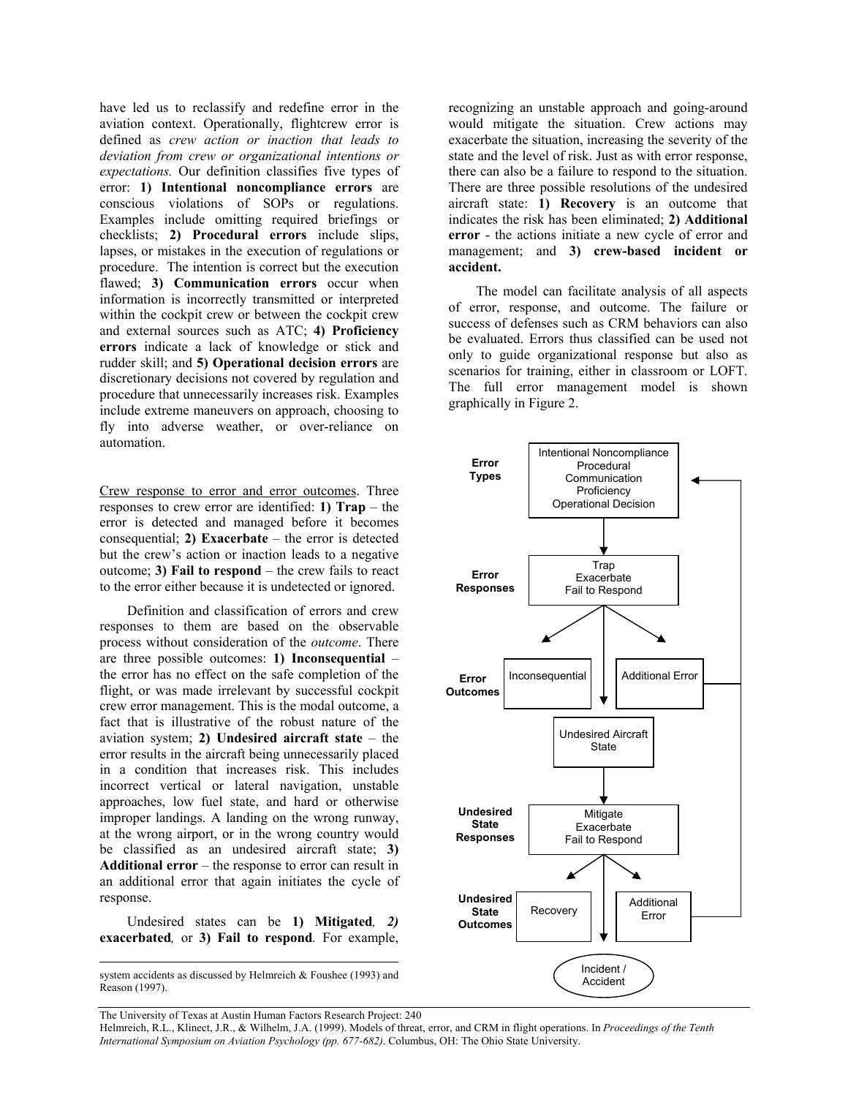have led us to reclassify and redefine error in the aviation context. Operationally, flightcrew error is defined as *crew action or inaction that leads to deviation from crew or organizational intentions or expectations.* Our definition classifies five types of error: **1) Intentional noncompliance errors** are conscious violations of SOPs or regulations. Examples include omitting required briefings or checklists; **2) Procedural errors** include slips, lapses, or mistakes in the execution of regulations or procedure. The intention is correct but the execution flawed; **3) Communication errors** occur when information is incorrectly transmitted or interpreted within the cockpit crew or between the cockpit crew and external sources such as ATC; **4) Proficiency errors** indicate a lack of knowledge or stick and rudder skill; and **5) Operational decision errors** are discretionary decisions not covered by regulation and procedure that unnecessarily increases risk. Examples include extreme maneuvers on approach, choosing to fly into adverse weather, or over-reliance on automation.

Crew response to error and error outcomes. Three responses to crew error are identified: **1) Trap** – the error is detected and managed before it becomes consequential; **2) Exacerbate** – the error is detected but the crew's action or inaction leads to a negative outcome; **3) Fail to respond** – the crew fails to react to the error either because it is undetected or ignored.

Definition and classification of errors and crew responses to them are based on the observable process without consideration of the *outcome*. There are three possible outcomes: **1) Inconsequential** – the error has no effect on the safe completion of the flight, or was made irrelevant by successful cockpit crew error management. This is the modal outcome, a fact that is illustrative of the robust nature of the aviation system; **2) Undesired aircraft state** – the error results in the aircraft being unnecessarily placed in a condition that increases risk. This includes incorrect vertical or lateral navigation, unstable approaches, low fuel state, and hard or otherwise improper landings. A landing on the wrong runway, at the wrong airport, or in the wrong country would be classified as an undesired aircraft state; **3) Additional error** – the response to error can result in an additional error that again initiates the cycle of response.

Undesired states can be **1) Mitigated***, 2)*  **exacerbated***,* or **3) Fail to respond***.* For example,

system accidents as discussed by Helmreich & Foushee (1993) and Reason (1997).

 $\overline{a}$ 

recognizing an unstable approach and going-around would mitigate the situation. Crew actions may exacerbate the situation, increasing the severity of the state and the level of risk. Just as with error response, there can also be a failure to respond to the situation. There are three possible resolutions of the undesired aircraft state: **1) Recovery** is an outcome that indicates the risk has been eliminated; **2) Additional error** - the actions initiate a new cycle of error and management; and **3) crew-based incident or accident.**

The model can facilitate analysis of all aspects of error, response, and outcome. The failure or success of defenses such as CRM behaviors can also be evaluated. Errors thus classified can be used not only to guide organizational response but also as scenarios for training, either in classroom or LOFT. The full error management model is shown graphically in Figure 2.



The University of Texas at Austin Human Factors Research Project: 240

Helmreich, R.L., Klinect, J.R., & Wilhelm, J.A. (1999). Models of threat, error, and CRM in flight operations. In *Proceedings of the Tenth International Symposium on Aviation Psychology (pp. 677-682)*. Columbus, OH: The Ohio State University.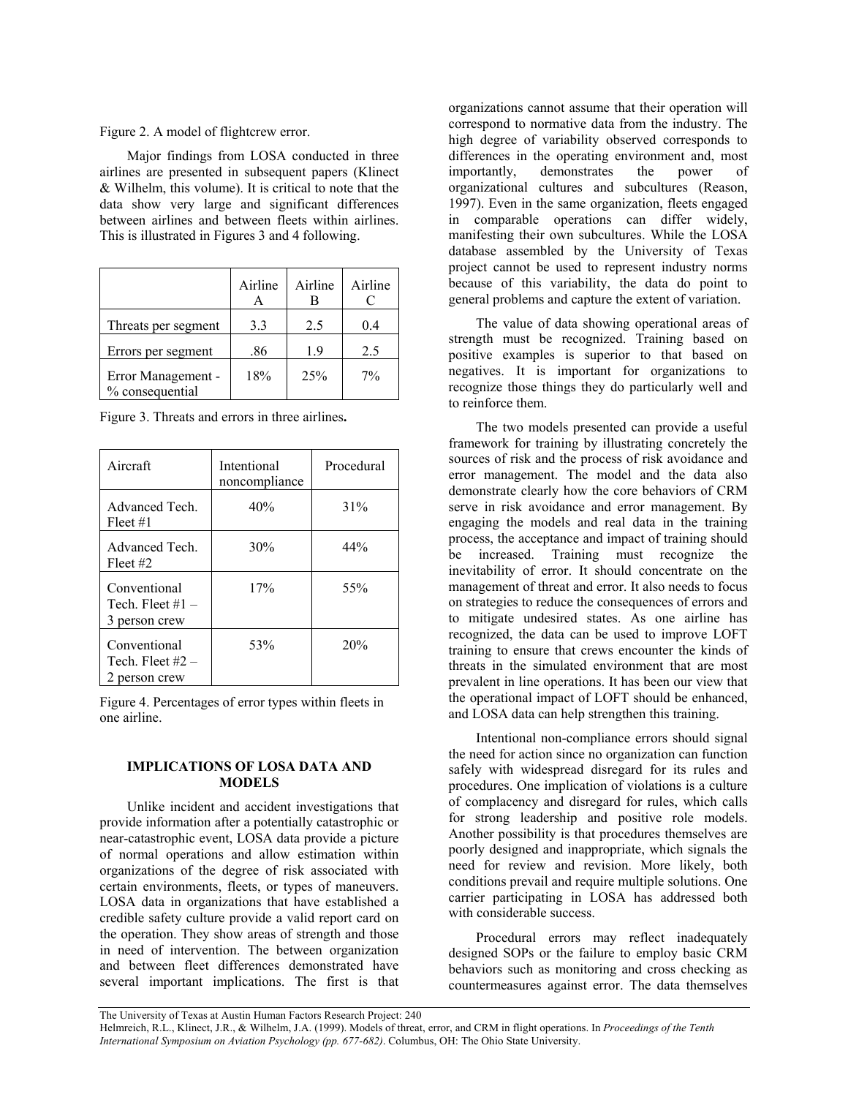Figure 2. A model of flightcrew error.

 Major findings from LOSA conducted in three airlines are presented in subsequent papers (Klinect & Wilhelm, this volume). It is critical to note that the data show very large and significant differences between airlines and between fleets within airlines. This is illustrated in Figures 3 and 4 following.

|                                       | Airline | Airline | Airline |
|---------------------------------------|---------|---------|---------|
| Threats per segment                   | 3.3     | 2.5     | 0.4     |
| Errors per segment                    | .86     | 19      | 2.5     |
| Error Management -<br>% consequential | 18%     | 25%     | $7\%$   |

Figure 3. Threats and errors in three airlines**.** 

| Aircraft                                            | Intentional<br>noncompliance | Procedural |
|-----------------------------------------------------|------------------------------|------------|
| Advanced Tech.<br>Fleet #1                          | 40%                          | 31%        |
| Advanced Tech.<br>Fleet #2                          | 30%                          | 44%        |
| Conventional<br>Tech. Fleet $#1 -$<br>3 person crew | 17%                          | 55%        |
| Conventional<br>Tech. Fleet $#2 -$<br>2 person crew | 53%                          | 20%        |

Figure 4. Percentages of error types within fleets in one airline.

## **IMPLICATIONS OF LOSA DATA AND MODELS**

 Unlike incident and accident investigations that provide information after a potentially catastrophic or near-catastrophic event, LOSA data provide a picture of normal operations and allow estimation within organizations of the degree of risk associated with certain environments, fleets, or types of maneuvers. LOSA data in organizations that have established a credible safety culture provide a valid report card on the operation. They show areas of strength and those in need of intervention. The between organization and between fleet differences demonstrated have several important implications. The first is that

organizations cannot assume that their operation will correspond to normative data from the industry. The high degree of variability observed corresponds to differences in the operating environment and, most importantly, demonstrates the power of organizational cultures and subcultures (Reason, 1997). Even in the same organization, fleets engaged in comparable operations can differ widely, manifesting their own subcultures. While the LOSA database assembled by the University of Texas project cannot be used to represent industry norms because of this variability, the data do point to general problems and capture the extent of variation.

 The value of data showing operational areas of strength must be recognized. Training based on positive examples is superior to that based on negatives. It is important for organizations to recognize those things they do particularly well and to reinforce them.

The two models presented can provide a useful framework for training by illustrating concretely the sources of risk and the process of risk avoidance and error management. The model and the data also demonstrate clearly how the core behaviors of CRM serve in risk avoidance and error management. By engaging the models and real data in the training process, the acceptance and impact of training should be increased. Training must recognize the inevitability of error. It should concentrate on the management of threat and error. It also needs to focus on strategies to reduce the consequences of errors and to mitigate undesired states. As one airline has recognized, the data can be used to improve LOFT training to ensure that crews encounter the kinds of threats in the simulated environment that are most prevalent in line operations. It has been our view that the operational impact of LOFT should be enhanced, and LOSA data can help strengthen this training.

 Intentional non-compliance errors should signal the need for action since no organization can function safely with widespread disregard for its rules and procedures. One implication of violations is a culture of complacency and disregard for rules, which calls for strong leadership and positive role models. Another possibility is that procedures themselves are poorly designed and inappropriate, which signals the need for review and revision. More likely, both conditions prevail and require multiple solutions. One carrier participating in LOSA has addressed both with considerable success.

 Procedural errors may reflect inadequately designed SOPs or the failure to employ basic CRM behaviors such as monitoring and cross checking as countermeasures against error. The data themselves

The University of Texas at Austin Human Factors Research Project: 240 Helmreich, R.L., Klinect, J.R., & Wilhelm, J.A. (1999). Models of threat, error, and CRM in flight operations. In *Proceedings of the Tenth International Symposium on Aviation Psychology (pp. 677-682)*. Columbus, OH: The Ohio State University.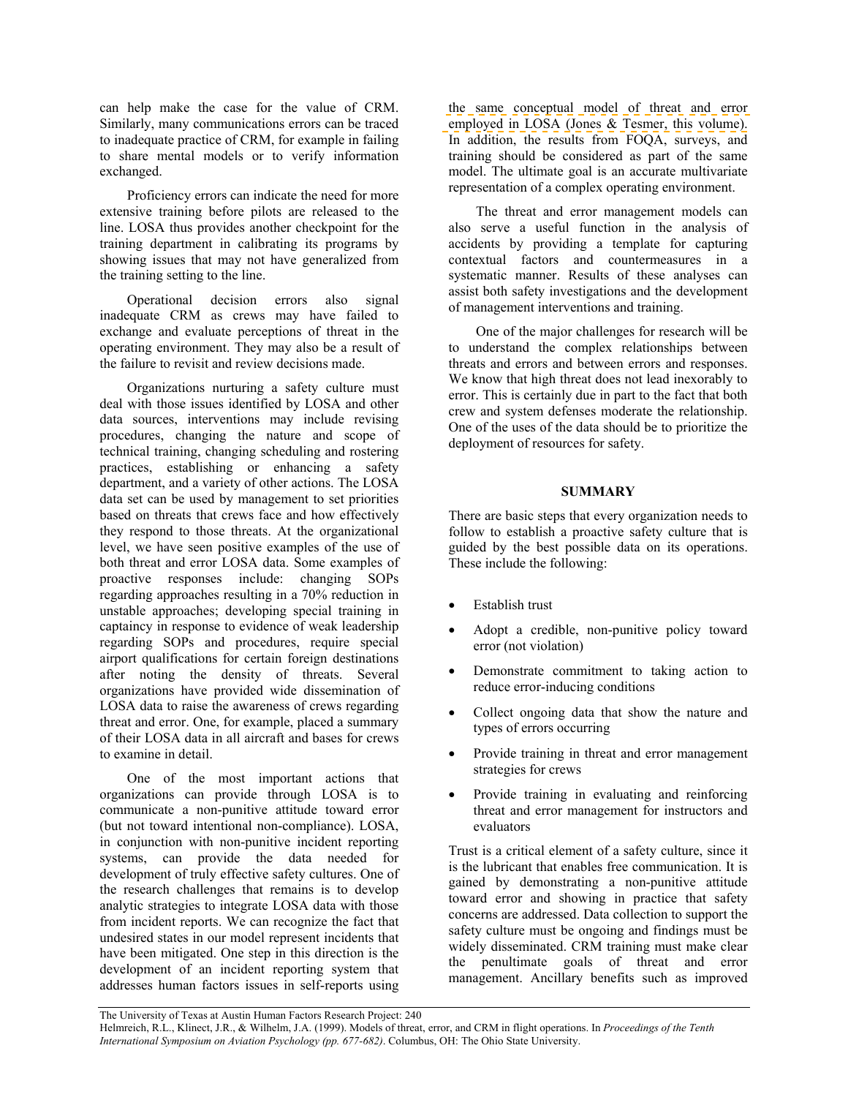can help make the case for the value of CRM. Similarly, many communications errors can be traced to inadequate practice of CRM, for example in failing to share mental models or to verify information exchanged.

 Proficiency errors can indicate the need for more extensive training before pilots are released to the line. LOSA thus provides another checkpoint for the training department in calibrating its programs by showing issues that may not have generalized from the training setting to the line.

 Operational decision errors also signal inadequate CRM as crews may have failed to exchange and evaluate perceptions of threat in the operating environment. They may also be a result of the failure to revisit and review decisions made.

 Organizations nurturing a safety culture must deal with those issues identified by LOSA and other data sources, interventions may include revising procedures, changing the nature and scope of technical training, changing scheduling and rostering practices, establishing or enhancing a safety department, and a variety of other actions. The LOSA data set can be used by management to set priorities based on threats that crews face and how effectively they respond to those threats. At the organizational level, we have seen positive examples of the use of both threat and error LOSA data. Some examples of proactive responses include: changing SOPs regarding approaches resulting in a 70% reduction in unstable approaches; developing special training in captaincy in response to evidence of weak leadership regarding SOPs and procedures, require special airport qualifications for certain foreign destinations after noting the density of threats. Several organizations have provided wide dissemination of LOSA data to raise the awareness of crews regarding threat and error. One, for example, placed a summary of their LOSA data in all aircraft and bases for crews to examine in detail.

 One of the most important actions that organizations can provide through LOSA is to communicate a non-punitive attitude toward error (but not toward intentional non-compliance). LOSA, in conjunction with non-punitive incident reporting systems, can provide the data needed for development of truly effective safety cultures. One of the research challenges that remains is to develop analytic strategies to integrate LOSA data with those from incident reports. We can recognize the fact that undesired states in our model represent incidents that have been mitigated. One step in this direction is the development of an incident reporting system that addresses human factors issues in self-reports using

the same conceptual model of threat and error employed in LOSA (Jones & Tesmer, this volume). In addition, the results from FOQA, surveys, and training should be considered as part of the same model. The ultimate goal is an accurate multivariate representation of a complex operating environment.

The threat and error management models can also serve a useful function in the analysis of accidents by providing a template for capturing contextual factors and countermeasures in a systematic manner. Results of these analyses can assist both safety investigations and the development of management interventions and training.

 One of the major challenges for research will be to understand the complex relationships between threats and errors and between errors and responses. We know that high threat does not lead inexorably to error. This is certainly due in part to the fact that both crew and system defenses moderate the relationship. One of the uses of the data should be to prioritize the deployment of resources for safety.

# **SUMMARY**

There are basic steps that every organization needs to follow to establish a proactive safety culture that is guided by the best possible data on its operations. These include the following:

- Establish trust
- Adopt a credible, non-punitive policy toward error (not violation)
- Demonstrate commitment to taking action to reduce error-inducing conditions
- Collect ongoing data that show the nature and types of errors occurring
- Provide training in threat and error management strategies for crews
- Provide training in evaluating and reinforcing threat and error management for instructors and evaluators

Trust is a critical element of a safety culture, since it is the lubricant that enables free communication. It is gained by demonstrating a non-punitive attitude toward error and showing in practice that safety concerns are addressed. Data collection to support the safety culture must be ongoing and findings must be widely disseminated. CRM training must make clear the penultimate goals of threat and error management. Ancillary benefits such as improved